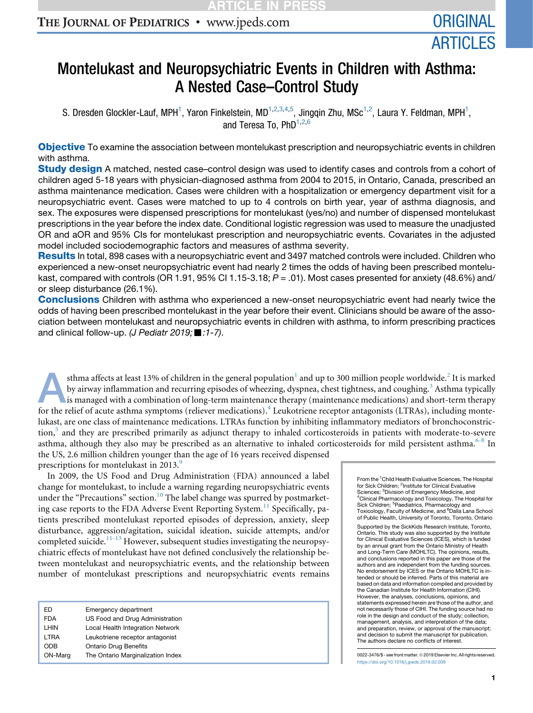# THE JOURNAL OF PEDIATRICS • www.jpeds.com

# Montelukast and Neuropsychiatric Events in Children with Asthma: A Nested Case–Control Study

S. Dresden Glockler-Lauf, MPH<sup>1</sup>, Yaron Finkelstein, MD<sup>1,2,3,4,5</sup>, Jingqin Zhu, MSc<sup>1,2</sup>, Laura Y. Feldman, MPH<sup>1</sup>, and Teresa To, PhD<sup>1,2,6</sup>

**Objective** To examine the association between montelukast prescription and neuropsychiatric events in children with asthma.

Study design A matched, nested case–control design was used to identify cases and controls from a cohort of children aged 5-18 years with physician-diagnosed asthma from 2004 to 2015, in Ontario, Canada, prescribed an asthma maintenance medication. Cases were children with a hospitalization or emergency department visit for a neuropsychiatric event. Cases were matched to up to 4 controls on birth year, year of asthma diagnosis, and sex. The exposures were dispensed prescriptions for montelukast (yes/no) and number of dispensed montelukast prescriptions in the year before the index date. Conditional logistic regression was used to measure the unadjusted OR and aOR and 95% CIs for montelukast prescription and neuropsychiatric events. Covariates in the adjusted model included sociodemographic factors and measures of asthma severity.

Results In total, 898 cases with a neuropsychiatric event and 3497 matched controls were included. Children who experienced a new-onset neuropsychiatric event had nearly 2 times the odds of having been prescribed montelukast, compared with controls (OR 1.91, 95% CI 1.15-3.18;  $P = .01$ ). Most cases presented for anxiety (48.6%) and/ or sleep disturbance (26.1%).

**Conclusions** Children with asthma who experienced a new-onset neuropsychiatric event had nearly twice the odds of having been prescribed montelukast in the year before their event. Clinicians should be aware of the association between montelukast and neuropsychiatric events in children with asthma, to inform prescribing practices and clinical follow-up. *(J Pediatr 2019;* ■ :1-7).

sthma affects at least [1](#page-5-0)3% of children in the general population<sup>1</sup> and up to 300 million people worldwide.<sup>[2](#page-5-0)</sup> It is marked by airway inflammation and recurring episodes of wheezing, dyspnea, chest tightness, and coughing.<sup>[3](#page-5-0)</sup> Asthma typically is managed with a combination of long-term maintenance therapy (maintenance medications) and short-term therapy for the relief of acute asthma symptoms (reliever medications).<sup>[4](#page-5-0)</sup> Leukotriene receptor antagonists (LTRAs), including montelukast, are one class of maintenance medications. LTRAs function by inhibiting inflammatory mediators of bronchoconstric-tion,<sup>[5](#page-5-0)</sup> and they are prescribed primarily as adjunct therapy to inhaled corticosteroids in patients with moderate-to-severe asthma, although they also may be prescribed as an alternative to inhaled corticosteroids for mild persistent asthma. $6-8$  In the US, 2.6 million children younger than the age of 16 years received dispensed prescriptions for montelukast in 2013.<sup>[9](#page-6-0)</sup>

In 2009, the US Food and Drug Administration (FDA) announced a label change for montelukast, to include a warning regarding neuropsychiatric events under the "Precautions" section.<sup>[10](#page-6-0)</sup> The label change was spurred by postmarket-ing case reports to the FDA Adverse Event Reporting System.<sup>[11](#page-6-0)</sup> Specifically, patients prescribed montelukast reported episodes of depression, anxiety, sleep disturbance, aggression/agitation, suicidal ideation, suicide attempts, and/or completed suicide.<sup>[11-13](#page-6-0)</sup> However, subsequent studies investigating the neuropsychiatric effects of montelukast have not defined conclusively the relationship between montelukast and neuropsychiatric events, and the relationship between number of montelukast prescriptions and neuropsychiatric events remains

| FD<br>FDA | Emergency department<br>US Food and Drug Administration |
|-----------|---------------------------------------------------------|
| LHIN      | Local Health Integration Network                        |
| LTRA      | Leukotriene receptor antagonist                         |
| ODB       | <b>Ontario Drug Benefits</b>                            |
| ON-Marg   | The Ontario Marginalization Index                       |

From the <sup>1</sup>Child Health Evaluative Sciences, The Hospital for Sick Children; <sup>2</sup>Institute for Clinical Evaluative Sciences; <sup>3</sup>Division of Emergency Medicine, and<br><sup>4</sup>Clinical Pharmacology and Toxicology, The Hospital for<br>Sick Children; <sup>5</sup>Paediatrics, Pharmacology and Toxicology, Faculty of Medicine, and <sup>6</sup>Dalla Lana School of Public Health, University of Toronto, Toronto, Ontario Supported by the SickKids Research Institute, Toronto, Ontario. This study was also supported by the Institute for Clinical Evaluative Sciences (ICES), which is funded by an annual grant from the Ontario Ministry of Health and Long-Term Care (MOHLTC). The opinions, results, and conclusions reported in this paper are those of the authors and are independent from the funding sources. No endorsement by ICES or the Ontario MOHLTC is intended or should be inferred. Parts of this material are based on data and information compiled and provided by the Canadian Institute for Health Information (CIHI). However, the analyses, conclusions, opinions, and statements expressed herein are those of the author, and not necessarily those of CIHI. The funding source had no role in the design and conduct of the study; collection, management, analysis, and interpretation of the data; and preparation, review, or approval of the manuscript; and decision to submit the manuscript for publication. The authors declare no conflicts of interest.

0022-3476/\$ - see front matter. © 2019 Elsevier Inc. All rights reserved. <https://doi.org/10.1016/j.jpeds.2019.02.009>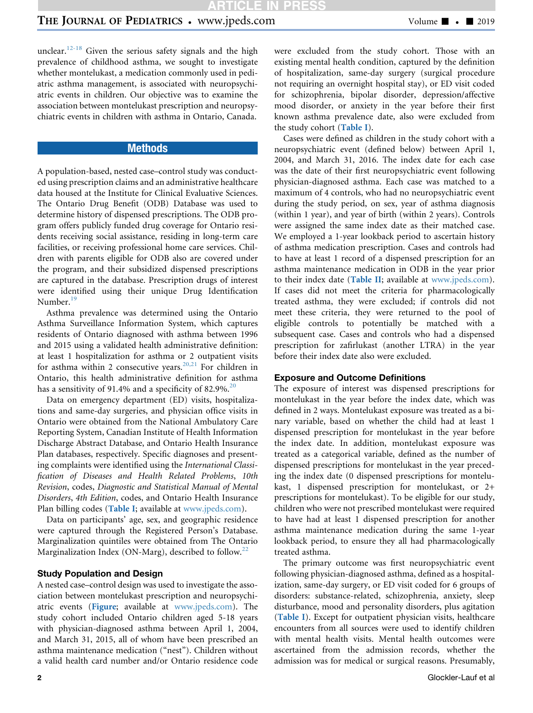unclear.<sup>[12-18](#page-6-0)</sup> Given the serious safety signals and the high prevalence of childhood asthma, we sought to investigate whether montelukast, a medication commonly used in pediatric asthma management, is associated with neuropsychiatric events in children. Our objective was to examine the association between montelukast prescription and neuropsychiatric events in children with asthma in Ontario, Canada.

## **Methods**

A population-based, nested case–control study was conducted using prescription claims and an administrative healthcare data housed at the Institute for Clinical Evaluative Sciences. The Ontario Drug Benefit (ODB) Database was used to determine history of dispensed prescriptions. The ODB program offers publicly funded drug coverage for Ontario residents receiving social assistance, residing in long-term care facilities, or receiving professional home care services. Children with parents eligible for ODB also are covered under the program, and their subsidized dispensed prescriptions are captured in the database. Prescription drugs of interest were identified using their unique Drug Identification Number.<sup>[19](#page-6-0)</sup>

Asthma prevalence was determined using the Ontario Asthma Surveillance Information System, which captures residents of Ontario diagnosed with asthma between 1996 and 2015 using a validated health administrative definition: at least 1 hospitalization for asthma or 2 outpatient visits for asthma within 2 consecutive years.<sup>[20,21](#page-6-0)</sup> For children in Ontario, this health administrative definition for asthma has a sensitivity of 91.4% and a specificity of 82.9%.<sup>[20](#page-6-0)</sup>

Data on emergency department (ED) visits, hospitalizations and same-day surgeries, and physician office visits in Ontario were obtained from the National Ambulatory Care Reporting System, Canadian Institute of Health Information Discharge Abstract Database, and Ontario Health Insurance Plan databases, respectively. Specific diagnoses and presenting complaints were identified using the International Classification of Diseases and Health Related Problems, 10th Revision, codes, Diagnostic and Statistical Manual of Mental Disorders, 4th Edition, codes, and Ontario Health Insurance Plan billing codes ([Table I](#page-8-0); available at [www.jpeds.com\)](http://www.jpeds.com).

Data on participants' age, sex, and geographic residence were captured through the Registered Person's Database. Marginalization quintiles were obtained from The Ontario Marginalization Index (ON-Marg), described to follow.<sup>[22](#page-6-0)</sup>

### Study Population and Design

A nested case–control design was used to investigate the association between montelukast prescription and neuropsychiatric events ([Figure](#page-7-0); available at [www.jpeds.com](http://www.jpeds.com)). The study cohort included Ontario children aged 5-18 years with physician-diagnosed asthma between April 1, 2004, and March 31, 2015, all of whom have been prescribed an asthma maintenance medication ("nest"). Children without a valid health card number and/or Ontario residence code were excluded from the study cohort. Those with an existing mental health condition, captured by the definition of hospitalization, same-day surgery (surgical procedure not requiring an overnight hospital stay), or ED visit coded for schizophrenia, bipolar disorder, depression/affective mood disorder, or anxiety in the year before their first known asthma prevalence date, also were excluded from the study cohort ([Table I](#page-8-0)).

Cases were defined as children in the study cohort with a neuropsychiatric event (defined below) between April 1, 2004, and March 31, 2016. The index date for each case was the date of their first neuropsychiatric event following physician-diagnosed asthma. Each case was matched to a maximum of 4 controls, who had no neuropsychiatric event during the study period, on sex, year of asthma diagnosis (within 1 year), and year of birth (within 2 years). Controls were assigned the same index date as their matched case. We employed a 1-year lookback period to ascertain history of asthma medication prescription. Cases and controls had to have at least 1 record of a dispensed prescription for an asthma maintenance medication in ODB in the year prior to their index date ([Table II](#page-9-0); available at [www.jpeds.com\)](http://www.jpeds.com). If cases did not meet the criteria for pharmacologically treated asthma, they were excluded; if controls did not meet these criteria, they were returned to the pool of eligible controls to potentially be matched with a subsequent case. Cases and controls who had a dispensed prescription for zafirlukast (another LTRA) in the year before their index date also were excluded.

#### Exposure and Outcome Definitions

The exposure of interest was dispensed prescriptions for montelukast in the year before the index date, which was defined in 2 ways. Montelukast exposure was treated as a binary variable, based on whether the child had at least 1 dispensed prescription for montelukast in the year before the index date. In addition, montelukast exposure was treated as a categorical variable, defined as the number of dispensed prescriptions for montelukast in the year preceding the index date (0 dispensed prescriptions for montelukast, 1 dispensed prescription for montelukast, or 2+ prescriptions for montelukast). To be eligible for our study, children who were not prescribed montelukast were required to have had at least 1 dispensed prescription for another asthma maintenance medication during the same 1-year lookback period, to ensure they all had pharmacologically treated asthma.

The primary outcome was first neuropsychiatric event following physician-diagnosed asthma, defined as a hospitalization, same-day surgery, or ED visit coded for 6 groups of disorders: substance-related, schizophrenia, anxiety, sleep disturbance, mood and personality disorders, plus agitation ([Table I](#page-8-0)). Except for outpatient physician visits, healthcare encounters from all sources were used to identify children with mental health visits. Mental health outcomes were ascertained from the admission records, whether the admission was for medical or surgical reasons. Presumably,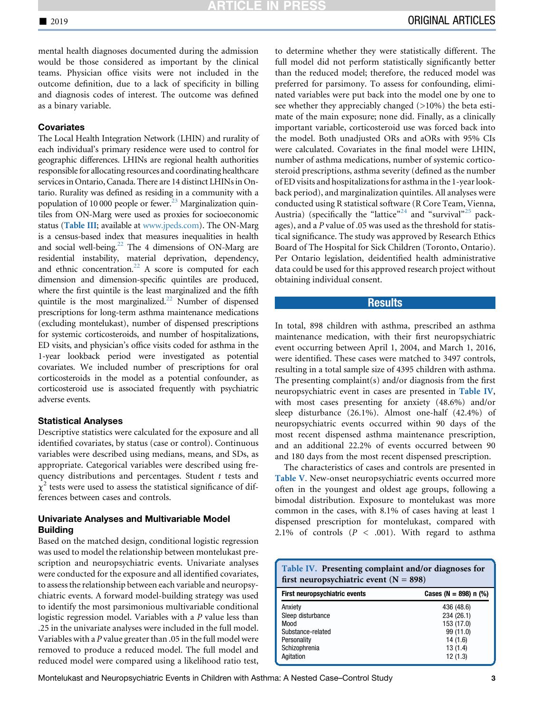mental health diagnoses documented during the admission would be those considered as important by the clinical teams. Physician office visits were not included in the outcome definition, due to a lack of specificity in billing and diagnosis codes of interest. The outcome was defined as a binary variable.

## **Covariates**

The Local Health Integration Network (LHIN) and rurality of each individual's primary residence were used to control for geographic differences. LHINs are regional health authorities responsible for allocating resources and coordinating healthcare services in Ontario, Canada. There are 14 distinct LHINs in Ontario. Rurality was defined as residing in a community with a population of 10 000 people or fewer.<sup>23</sup> Marginalization quintiles from ON-Marg were used as proxies for socioeconomic status ([Table III](#page-10-0); available at [www.jpeds.com](http://www.jpeds.com)). The ON-Marg is a census-based index that measures inequalities in health and social well-being.<sup>[22](#page-6-0)</sup> The 4 dimensions of ON-Marg are residential instability, material deprivation, dependency, and ethnic concentration. $22$  A score is computed for each dimension and dimension-specific quintiles are produced, where the first quintile is the least marginalized and the fifth quintile is the most marginalized.<sup>22</sup> Number of dispensed prescriptions for long-term asthma maintenance medications (excluding montelukast), number of dispensed prescriptions for systemic corticosteroids, and number of hospitalizations, ED visits, and physician's office visits coded for asthma in the 1-year lookback period were investigated as potential covariates. We included number of prescriptions for oral corticosteroids in the model as a potential confounder, as corticosteroid use is associated frequently with psychiatric adverse events.

#### Statistical Analyses

Descriptive statistics were calculated for the exposure and all identified covariates, by status (case or control). Continuous variables were described using medians, means, and SDs, as appropriate. Categorical variables were described using frequency distributions and percentages. Student t tests and  $\chi^2$  tests were used to assess the statistical significance of differences between cases and controls.

## Univariate Analyses and Multivariable Model Building

Based on the matched design, conditional logistic regression was used to model the relationship between montelukast prescription and neuropsychiatric events. Univariate analyses were conducted for the exposure and all identified covariates, to assess the relationship between each variable and neuropsychiatric events. A forward model-building strategy was used to identify the most parsimonious multivariable conditional logistic regression model. Variables with a P value less than .25 in the univariate analyses were included in the full model. Variables with a P value greater than .05 in the full model were removed to produce a reduced model. The full model and reduced model were compared using a likelihood ratio test,

to determine whether they were statistically different. The full model did not perform statistically significantly better than the reduced model; therefore, the reduced model was preferred for parsimony. To assess for confounding, eliminated variables were put back into the model one by one to see whether they appreciably changed (>10%) the beta estimate of the main exposure; none did. Finally, as a clinically important variable, corticosteroid use was forced back into the model. Both unadjusted ORs and aORs with 95% CIs were calculated. Covariates in the final model were LHIN, number of asthma medications, number of systemic corticosteroid prescriptions, asthma severity (defined as the number of ED visits and hospitalizations for asthma in the 1-year lookback period), and marginalization quintiles. All analyses were conducted using R statistical software (R Core Team, Vienna, Austria) (specifically the "lattice"<sup>[24](#page-6-0)</sup> and "survival"<sup>[25](#page-6-0)</sup> packages), and a P value of .05 was used as the threshold for statistical significance. The study was approved by Research Ethics Board of The Hospital for Sick Children (Toronto, Ontario). Per Ontario legislation, deidentified health administrative data could be used for this approved research project without obtaining individual consent.

## **Results**

In total, 898 children with asthma, prescribed an asthma maintenance medication, with their first neuropsychiatric event occurring between April 1, 2004, and March 1, 2016, were identified. These cases were matched to 3497 controls, resulting in a total sample size of 4395 children with asthma. The presenting complaint(s) and/or diagnosis from the first neuropsychiatric event in cases are presented in Table IV, with most cases presenting for anxiety (48.6%) and/or sleep disturbance (26.1%). Almost one-half (42.4%) of neuropsychiatric events occurred within 90 days of the most recent dispensed asthma maintenance prescription, and an additional 22.2% of events occurred between 90 and 180 days from the most recent dispensed prescription.

The characteristics of cases and controls are presented in [Table V](#page-3-0). New-onset neuropsychiatric events occurred more often in the youngest and oldest age groups, following a bimodal distribution. Exposure to montelukast was more common in the cases, with 8.1% of cases having at least 1 dispensed prescription for montelukast, compared with 2.1% of controls  $(P < .001)$ . With regard to asthma

| Table IV. Presenting complaint and/or diagnoses for<br>first neuropsychiatric event ( $N = 898$ ) |                         |  |
|---------------------------------------------------------------------------------------------------|-------------------------|--|
| First neuropsychiatric events                                                                     | Cases (N = 898) $n$ (%) |  |
| Anxiety                                                                                           | 436 (48.6)              |  |
| Sleep disturbance                                                                                 | 234 (26.1)              |  |
| Mood                                                                                              | 153 (17.0)              |  |
| Substance-related                                                                                 | 99 (11.0)               |  |
| Personality                                                                                       | 14 (1.6)                |  |
| Schizophrenia                                                                                     | 13(1.4)                 |  |
| Agitation                                                                                         | 12(1.3)                 |  |

Montelukast and Neuropsychiatric Events in Children with Asthma: A Nested Case–Control Study 3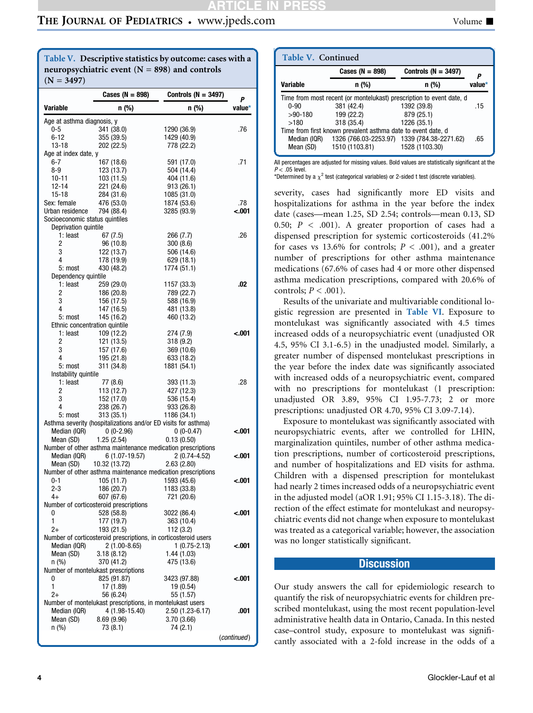## <span id="page-3-0"></span>THE JOURNAL OF PEDIATRICS • www.jpeds.com Volume I

Table V. Descriptive statistics by outcome: cases with a neuropsychiatric event  $(N = 898)$  and controls  $(N = 3497)$ 

|                                                        | Cases ( $N = 898$ )                                       | Controls (N = 3497)                                                           | Ρ           |
|--------------------------------------------------------|-----------------------------------------------------------|-------------------------------------------------------------------------------|-------------|
| Variable                                               | n (%)                                                     | n (%)                                                                         | value*      |
| Age at asthma diagnosis, y                             |                                                           |                                                                               |             |
| 0-5                                                    | 341 (38.0)                                                | 1290 (36.9)                                                                   | .76         |
| 6-12                                                   | 355 (39.5)                                                | 1429 (40.9)                                                                   |             |
| 13-18                                                  | 202 (22.5)                                                | 778 (22.2)                                                                    |             |
| Age at index date, y<br>6-7                            |                                                           |                                                                               | .71         |
| 8-9                                                    | 167 (18.6)<br>123 (13.7)                                  | 591 (17.0)<br>504 (14.4)                                                      |             |
| $10 - 11$                                              | 103 (11.5)                                                | 404 (11.6)                                                                    |             |
| 12-14                                                  | 221 (24.6)                                                | 913 (26.1)                                                                    |             |
| 15-18                                                  | 284 (31.6)                                                | 1085 (31.0)                                                                   |             |
| Sex: female                                            | 476 (53.0)                                                | 1874 (53.6)                                                                   | .78         |
| Urban residence                                        | 794 (88.4)                                                | 3285 (93.9)                                                                   | <.001       |
| Socioeconomic status quintiles<br>Deprivation quintile |                                                           |                                                                               |             |
| 1: least                                               | 67 (7.5)                                                  | 266 (7.7)                                                                     | .26         |
| 2                                                      | 96 (10.8)                                                 | 300(8.6)                                                                      |             |
| 3                                                      | 122 (13.7)                                                | 506 (14.6)                                                                    |             |
| 4                                                      | 178 (19.9)                                                | 629 (18.1)                                                                    |             |
| 5: most                                                | 430 (48.2)                                                | 1774 (51.1)                                                                   |             |
| Dependency quintile                                    |                                                           |                                                                               |             |
| 1: least<br>2                                          | 259 (29.0)                                                | 1157 (33.3)                                                                   | .02         |
| 3                                                      | 186 (20.8)<br>156 (17.5)                                  | 789 (22.7)<br>588 (16.9)                                                      |             |
| 4                                                      | 147 (16.5)                                                | 481 (13.8)                                                                    |             |
| 5: most                                                | 145 (16.2)                                                | 460 (13.2)                                                                    |             |
|                                                        | Ethnic concentration quintile                             |                                                                               |             |
| 1: least                                               | 109 (12.2)                                                | 274 (7.9)                                                                     | 001.>       |
| 2                                                      | 121 (13.5)                                                | 318 (9.2)                                                                     |             |
| 3<br>4                                                 | 157 (17.6)                                                | 369 (10.6)                                                                    |             |
| 5: most                                                | 195 (21.8)<br>311 (34.8)                                  | 633 (18.2)<br>1881 (54.1)                                                     |             |
| Instability quintile                                   |                                                           |                                                                               |             |
| 1: least                                               | 77 (8.6)                                                  | 393 (11.3)                                                                    | .28         |
| 2                                                      | 113 (12.7)                                                | 427 (12.3)                                                                    |             |
| 3                                                      | 152 (17.0)                                                | 536 (15.4)                                                                    |             |
| 4                                                      | 238 (26.7)                                                | 933 (26.8)                                                                    |             |
| 5: most                                                | 313(35.1)                                                 | 1186 (34.1)<br>Asthma severity (hospitalizations and/or ED visits for asthma) |             |
| Median (IQR)                                           | $0(0-2.96)$                                               | $0(0-0.47)$                                                                   | 001.>       |
| Mean (SD)                                              | 1.25(2.54)                                                | 0.13(0.50)                                                                    |             |
|                                                        |                                                           | Number of other asthma maintenance medication prescriptions                   |             |
| Median (IQR)                                           | $6(1.07-19.57)$                                           | $2(0.74-4.52)$                                                                | 001.>       |
| Mean (SD)                                              | 10.32 (13.72)                                             | 2.63(2.80)                                                                    |             |
|                                                        |                                                           | Number of other asthma maintenance medication prescriptions                   |             |
| 0-1<br>$2 - 3$                                         | 105 (11.7)<br>186 (20.7)                                  | 1593 (45.6)<br>1183 (33.8)                                                    | -.001       |
| 4+                                                     | 607 (67.6)                                                | 721 (20.6)                                                                    |             |
|                                                        | Number of corticosteroid prescriptions                    |                                                                               |             |
| 0                                                      | 528 (58.8)                                                | 3022 (86.4)                                                                   | -.001       |
| 1                                                      | 177 (19.7)                                                | 363 (10.4)                                                                    |             |
| $^{2+}$                                                | 193 (21.5)                                                | 112(3.2)                                                                      |             |
|                                                        |                                                           | Number of corticosteroid prescriptions, in corticosteroid users               |             |
| Median (IQR)<br>Mean (SD)                              | $2(1.00-8.65)$<br>3.18(8.12)                              | $1(0.75-2.13)$                                                                | -.001       |
| n (%)                                                  | 370 (41.2)                                                | 1.44 (1.03)<br>475 (13.6)                                                     |             |
|                                                        | Number of montelukast prescriptions                       |                                                                               |             |
| 0                                                      | 825 (91.87)                                               | 3423 (97.88)                                                                  | <.001       |
| 1                                                      | 17 (1.89)                                                 | 19 (0.54)                                                                     |             |
| 2+                                                     | 56 (6.24)                                                 | 55 (1.57)                                                                     |             |
|                                                        | Number of montelukast prescriptions, in montelukast users |                                                                               |             |
| Median (IQR)                                           | 4 (1.98-15.40)                                            | 2.50 (1.23-6.17)                                                              | .001        |
| Mean (SD)<br>n (%)                                     | 8.69(9.96)<br>73 (8.1)                                    | 3.70 (3.66)<br>74 (2.1)                                                       |             |
|                                                        |                                                           |                                                                               |             |
|                                                        |                                                           |                                                                               | (continued) |

| Table V. Continued                                                   |                     |                                             |        |  |
|----------------------------------------------------------------------|---------------------|---------------------------------------------|--------|--|
|                                                                      | Cases ( $N = 898$ ) | Controls ( $N = 3497$ )                     |        |  |
| <b>Variable</b>                                                      | n (%)               | n (%)                                       | value* |  |
| Time from most recent (or montelukast) prescription to event date, d |                     |                                             |        |  |
| $0 - 90$                                                             | 381 (42.4)          | 1392 (39.8)                                 | .15    |  |
| $>90-180$                                                            | 199 (22.2)          | 879 (25.1)                                  |        |  |
| >180                                                                 | 318 (35.4)          | 1226 (35.1)                                 |        |  |
| Time from first known prevalent asthma date to event date, d         |                     |                                             |        |  |
| Median (IQR)                                                         |                     | 1326 (766.03-2253.97) 1339 (784.38-2271.62) | .65    |  |
| Mean (SD)                                                            | 1510 (1103.81)      | 1528 (1103.30)                              |        |  |
|                                                                      |                     |                                             |        |  |

All percentages are adjusted for missing values. Bold values are statistically significant at the  $P < .05$  level.

\*Determined by a  $\chi^2$  test (categorical variables) or 2-sided t test (discrete variables).

severity, cases had significantly more ED visits and hospitalizations for asthma in the year before the index date (cases—mean 1.25, SD 2.54; controls—mean 0.13, SD 0.50;  $P < .001$ ). A greater proportion of cases had a dispensed prescription for systemic corticosteroids (41.2% for cases vs 13.6% for controls;  $P < .001$ ), and a greater number of prescriptions for other asthma maintenance medications (67.6% of cases had 4 or more other dispensed asthma medication prescriptions, compared with 20.6% of controls;  $P < .001$ ).

Results of the univariate and multivariable conditional logistic regression are presented in [Table VI](#page-4-0). Exposure to montelukast was significantly associated with 4.5 times increased odds of a neuropsychiatric event (unadjusted OR 4.5, 95% CI 3.1-6.5) in the unadjusted model. Similarly, a greater number of dispensed montelukast prescriptions in the year before the index date was significantly associated with increased odds of a neuropsychiatric event, compared with no prescriptions for montelukast (1 prescription: unadjusted OR 3.89, 95% CI 1.95-7.73; 2 or more prescriptions: unadjusted OR 4.70, 95% CI 3.09-7.14).

Exposure to montelukast was significantly associated with neuropsychiatric events, after we controlled for LHIN, marginalization quintiles, number of other asthma medication prescriptions, number of corticosteroid prescriptions, and number of hospitalizations and ED visits for asthma. Children with a dispensed prescription for montelukast had nearly 2 times increased odds of a neuropsychiatric event in the adjusted model (aOR 1.91; 95% CI 1.15-3.18). The direction of the effect estimate for montelukast and neuropsychiatric events did not change when exposure to montelukast was treated as a categorical variable; however, the association was no longer statistically significant.

## **Discussion**

Our study answers the call for epidemiologic research to quantify the risk of neuropsychiatric events for children prescribed montelukast, using the most recent population-level administrative health data in Ontario, Canada. In this nested case–control study, exposure to montelukast was significantly associated with a 2-fold increase in the odds of a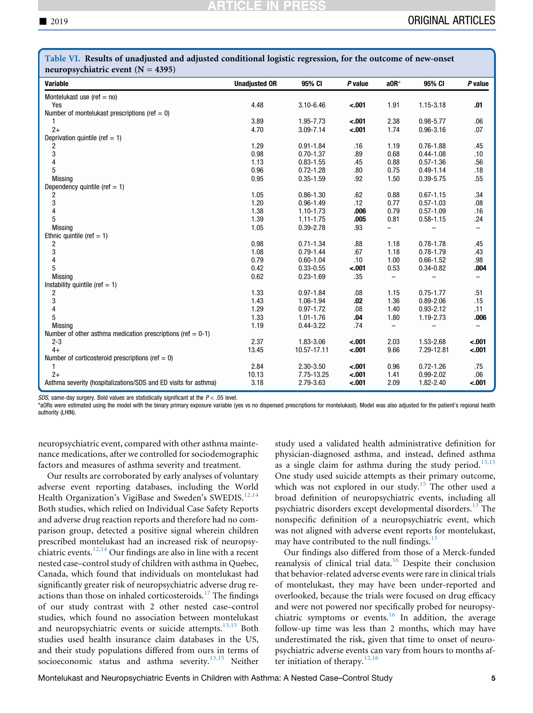| Table TE Results of unaufasted and adjusted conditional logistic regression, for the outcome of new onset<br>neuropsychiatric event $(N = 4395)$ |                      |                         |                    |                          |               |            |
|--------------------------------------------------------------------------------------------------------------------------------------------------|----------------------|-------------------------|--------------------|--------------------------|---------------|------------|
| Variable                                                                                                                                         | <b>Unadjusted OR</b> | 95% CI                  | P value            | $aOR*$                   | 95% CI        | P value    |
| Montelukast use (ref $=$ no)                                                                                                                     |                      |                         |                    |                          |               |            |
| Yes                                                                                                                                              | 4.48                 | 3.10-6.46               | $-.001$            | 1.91                     | 1.15-3.18     | .01        |
| Number of montelukast prescriptions (ref = 0)                                                                                                    |                      |                         |                    |                          |               |            |
| 1                                                                                                                                                | 3.89                 | 1.95-7.73               | $-.001$            | 2.38                     | $0.98 - 5.77$ | .06        |
| $2+$                                                                                                                                             | 4.70                 | 3.09-7.14               | $-.001$            | 1.74                     | $0.96 - 3.16$ | .07        |
| Deprivation quintile (ref $= 1$ )                                                                                                                |                      |                         |                    |                          |               |            |
| 2                                                                                                                                                | 1.29                 | $0.91 - 1.84$           | .16                | 1.19                     | $0.76 - 1.88$ | .45        |
| 3                                                                                                                                                | 0.98                 | $0.70 - 1.37$           | .89                | 0.68                     | $0.44 - 1.08$ | .10        |
| $\overline{\mathbf{4}}$                                                                                                                          | 1.13                 | $0.83 - 1.55$           | .45                | 0.88                     | $0.57 - 1.36$ | .56        |
| 5                                                                                                                                                | 0.96                 | $0.72 - 1.28$           | .80                | 0.75                     | $0.49 - 1.14$ | .18        |
| <b>Missing</b>                                                                                                                                   | 0.95                 | $0.35 - 1.59$           | .92                | 1.50                     | $0.39 - 5.75$ | .55        |
| Dependency quintile (ref $= 1$ )                                                                                                                 |                      |                         |                    |                          |               |            |
| 2                                                                                                                                                | 1.05                 | $0.86 - 1.30$           | .62                | 0.88                     | $0.67 - 1.15$ | .34        |
| 3                                                                                                                                                | 1.20                 | $0.96 - 1.49$           | .12                | 0.77                     | $0.57 - 1.03$ | .08        |
| $\overline{\mathbf{4}}$                                                                                                                          | 1.38                 | 1.10-1.73               | .006               | 0.79                     | $0.57 - 1.09$ | .16        |
| 5                                                                                                                                                | 1.39                 | $1.11 - 1.75$           | .005               | 0.81                     | $0.58 - 1.15$ | .24        |
| <b>Missing</b>                                                                                                                                   | 1.05                 | $0.39 - 2.78$           | .93                |                          |               | -          |
| Ethnic quintile (ref $= 1$ )                                                                                                                     |                      |                         |                    |                          |               |            |
| 2                                                                                                                                                | 0.98                 | $0.71 - 1.34$           | .88                | 1.18                     | $0.78 - 1.78$ | .45        |
| 3                                                                                                                                                | 1.08                 | $0.79 - 1.44$           | .67                | 1.18                     | $0.78 - 1.79$ | .43        |
| $\overline{\mathbf{4}}$                                                                                                                          | 0.79                 | $0.60 - 1.04$           | .10                | 1.00                     | $0.66 - 1.52$ | .98        |
| 5                                                                                                                                                | 0.42                 | $0.33 - 0.55$           | $-.001$            | 0.53                     | $0.34 - 0.82$ | .004       |
| <b>Missing</b>                                                                                                                                   | 0.62                 | $0.23 - 1.69$           | .35                | $\overline{\phantom{0}}$ |               |            |
| Instability quintile (ref $= 1$ )                                                                                                                |                      |                         |                    |                          |               |            |
| 2                                                                                                                                                | 1.33                 | $0.97 - 1.84$           | .08                | 1.15                     | $0.75 - 1.77$ | .51        |
| 3                                                                                                                                                | 1.43                 | 1.06-1.94               | .02                | 1.36                     | $0.89 - 2.06$ | .15        |
| $\overline{\mathbf{4}}$                                                                                                                          | 1.29                 | $0.97 - 1.72$           | .08                | 1.40                     | $0.93 - 2.12$ | .11        |
| 5                                                                                                                                                | 1.33                 | $1.01 - 1.76$           | .04                | 1.80                     | 1.19-2.73     | .006       |
| <b>Missing</b>                                                                                                                                   | 1.19                 | $0.44 - 3.22$           | .74                | $\qquad \qquad -$        |               |            |
| Number of other asthma medication prescriptions (ref $= 0-1$ )                                                                                   |                      |                         |                    |                          |               |            |
| $2 - 3$                                                                                                                                          | 2.37                 | 1.83-3.06               | $-.001$            | 2.03                     | 1.53-2.68     | $-.001$    |
| $4+$<br>13.45<br>$-.001$<br>9.66<br>7.29-12.81<br>$-.001$<br>10.57-17.11                                                                         |                      |                         |                    |                          |               |            |
| Number of corticosteroid prescriptions (ref $= 0$ )                                                                                              | 2.84                 |                         |                    |                          | $0.72 - 1.26$ |            |
| 1<br>$2+$                                                                                                                                        | 10.13                | 2.30-3.50<br>7.75-13.25 | $-.001$<br>$-.001$ | 0.96<br>1.41             | $0.99 - 2.02$ | .75<br>.06 |
| Asthma severity (hospitalizations/SDS and ED visits for asthma)                                                                                  | 3.18                 | 2.79-3.63               | $-.001$            | 2.09                     | 1.82-2.40     | $-.001$    |
|                                                                                                                                                  |                      |                         |                    |                          |               |            |

<span id="page-4-0"></span>Table VI. Results of unadjusted and adjusted conditional logistic regression, for the outcome of new-onset

SDS, same-day surgery. Bold values are statistically significant at the  $P < .05$  level.

\*aORs were estimated using the model with the binary primary exposure variable (yes vs no dispensed prescriptions for montelukast). Model was also adjusted for the patient's regional health authority (LHIN).

neuropsychiatric event, compared with other asthma maintenance medications, after we controlled for sociodemographic factors and measures of asthma severity and treatment.

Our results are corroborated by early analyses of voluntary adverse event reporting databases, including the World Health Organization's VigiBase and Sweden's SWEDIS.<sup>[12,14](#page-6-0)</sup> Both studies, which relied on Individual Case Safety Reports and adverse drug reaction reports and therefore had no comparison group, detected a positive signal wherein children prescribed montelukast had an increased risk of neuropsy-chiatric events.<sup>[12,14](#page-6-0)</sup> Our findings are also in line with a recent nested case–control study of children with asthma in Quebec, Canada, which found that individuals on montelukast had significantly greater risk of neuropsychiatric adverse drug re-actions than those on inhaled corticosteroids.<sup>[17](#page-6-0)</sup> The findings of our study contrast with 2 other nested case–control studies, which found no association between montelukast and neuropsychiatric events or suicide attempts. $13,15$  Both studies used health insurance claim databases in the US, and their study populations differed from ours in terms of socioeconomic status and asthma severity.<sup>[13,15](#page-6-0)</sup> Neither study used a validated health administrative definition for physician-diagnosed asthma, and instead, defined asthma as a single claim for asthma during the study period.<sup>[13,15](#page-6-0)</sup> One study used suicide attempts as their primary outcome, which was not explored in our study.<sup>[15](#page-6-0)</sup> The other used a broad definition of neuropsychiatric events, including all psychiatric disorders except developmental disorders.[13](#page-6-0) The nonspecific definition of a neuropsychiatric event, which was not aligned with adverse event reports for montelukast, may have contributed to the null findings. $13$ 

Our findings also differed from those of a Merck-funded reanalysis of clinical trial data.<sup>[16](#page-6-0)</sup> Despite their conclusion that behavior-related adverse events were rare in clinical trials of montelukast, they may have been under-reported and overlooked, because the trials were focused on drug efficacy and were not powered nor specifically probed for neuropsy-chiatric symptoms or events.<sup>[16](#page-6-0)</sup> In addition, the average follow-up time was less than 2 months, which may have underestimated the risk, given that time to onset of neuropsychiatric adverse events can vary from hours to months after initiation of therapy. $12,16$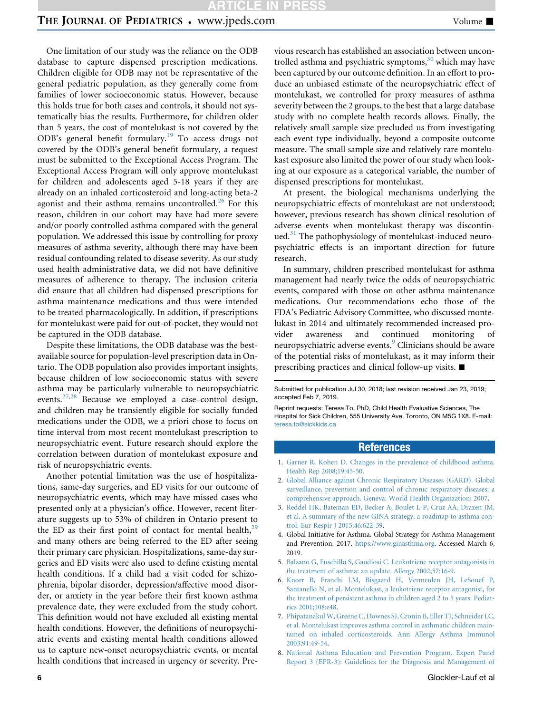# **TICLE IN PRES**

# <span id="page-5-0"></span>THE JOURNAL OF PEDIATRICS . www.jpeds.com Volume

One limitation of our study was the reliance on the ODB database to capture dispensed prescription medications. Children eligible for ODB may not be representative of the general pediatric population, as they generally come from families of lower socioeconomic status. However, because this holds true for both cases and controls, it should not systematically bias the results. Furthermore, for children older than 5 years, the cost of montelukast is not covered by the ODB's general benefit formulary.<sup>[19](#page-6-0)</sup> To access drugs not covered by the ODB's general benefit formulary, a request must be submitted to the Exceptional Access Program. The Exceptional Access Program will only approve montelukast for children and adolescents aged 5-18 years if they are already on an inhaled corticosteroid and long-acting beta-2 agonist and their asthma remains uncontrolled.<sup>[26](#page-6-0)</sup> For this reason, children in our cohort may have had more severe and/or poorly controlled asthma compared with the general population. We addressed this issue by controlling for proxy measures of asthma severity, although there may have been residual confounding related to disease severity. As our study used health administrative data, we did not have definitive measures of adherence to therapy. The inclusion criteria did ensure that all children had dispensed prescriptions for asthma maintenance medications and thus were intended to be treated pharmacologically. In addition, if prescriptions for montelukast were paid for out-of-pocket, they would not be captured in the ODB database.

Despite these limitations, the ODB database was the bestavailable source for population-level prescription data in Ontario. The ODB population also provides important insights, because children of low socioeconomic status with severe asthma may be particularly vulnerable to neuropsychiatric events.[27,28](#page-6-0) Because we employed a case–control design, and children may be transiently eligible for socially funded medications under the ODB, we a priori chose to focus on time interval from most recent montelukast prescription to neuropsychiatric event. Future research should explore the correlation between duration of montelukast exposure and risk of neuropsychiatric events.

Another potential limitation was the use of hospitalizations, same-day surgeries, and ED visits for our outcome of neuropsychiatric events, which may have missed cases who presented only at a physician's office. However, recent literature suggests up to 53% of children in Ontario present to the ED as their first point of contact for mental health, $^{29}$  $^{29}$  $^{29}$ and many others are being referred to the ED after seeing their primary care physician. Hospitalizations, same-day surgeries and ED visits were also used to define existing mental health conditions. If a child had a visit coded for schizophrenia, bipolar disorder, depression/affective mood disorder, or anxiety in the year before their first known asthma prevalence date, they were excluded from the study cohort. This definition would not have excluded all existing mental health conditions. However, the definitions of neuropsychiatric events and existing mental health conditions allowed us to capture new-onset neuropsychiatric events, or mental health conditions that increased in urgency or severity. Previous research has established an association between uncon-trolled asthma and psychiatric symptoms,<sup>[30](#page-6-0)</sup> which may have been captured by our outcome definition. In an effort to produce an unbiased estimate of the neuropsychiatric effect of montelukast, we controlled for proxy measures of asthma severity between the 2 groups, to the best that a large database study with no complete health records allows. Finally, the relatively small sample size precluded us from investigating each event type individually, beyond a composite outcome measure. The small sample size and relatively rare montelukast exposure also limited the power of our study when looking at our exposure as a categorical variable, the number of dispensed prescriptions for montelukast.

At present, the biological mechanisms underlying the neuropsychiatric effects of montelukast are not understood; however, previous research has shown clinical resolution of adverse events when montelukast therapy was discontinued. $31$  The pathophysiology of montelukast-induced neuropsychiatric effects is an important direction for future research.

In summary, children prescribed montelukast for asthma management had nearly twice the odds of neuropsychiatric events, compared with those on other asthma maintenance medications. Our recommendations echo those of the FDA's Pediatric Advisory Committee, who discussed montelukast in 2014 and ultimately recommended increased provider awareness and continued monitoring neuropsychiatric adverse events.<sup>[9](#page-6-0)</sup> Clinicians should be aware of the potential risks of montelukast, as it may inform their prescribing practices and clinical follow-up visits.  $\blacksquare$ 

Submitted for publication Jul 30, 2018; last revision received Jan 23, 2019; accepted Feb 7, 2019.

Reprint requests: Teresa To, PhD, Child Health Evaluative Sciences, The Hospital for Sick Children, 555 University Ave, Toronto, ON M5G 1X8. E-mail: [teresa.to@sickkids.ca](mailto:teresa.to@sickkids.ca)

## References

- 1. [Garner R, Kohen D. Changes in the prevalence of childhood asthma.](http://refhub.elsevier.com/S0022-3476(19)30198-2/sref1) [Health Rep 2008;19:45-50.](http://refhub.elsevier.com/S0022-3476(19)30198-2/sref1)
- 2. [Global Alliance against Chronic Respiratory Diseases \(GARD\). Global](http://refhub.elsevier.com/S0022-3476(19)30198-2/sref2) [surveillance, prevention and control of chronic respiratory diseases: a](http://refhub.elsevier.com/S0022-3476(19)30198-2/sref2) [comprehensive approach. Geneva: World Health Organization; 2007](http://refhub.elsevier.com/S0022-3476(19)30198-2/sref2).
- 3. [Reddel HK, Bateman ED, Becker A, Boulet L-P, Cruz AA, Drazen JM,](http://refhub.elsevier.com/S0022-3476(19)30198-2/sref3) [et al. A summary of the new GINA strategy: a roadmap to asthma con](http://refhub.elsevier.com/S0022-3476(19)30198-2/sref3)[trol. Eur Respir J 2015;46:622-39](http://refhub.elsevier.com/S0022-3476(19)30198-2/sref3).
- 4. Global Initiative for Asthma. Global Strategy for Asthma Management and Prevention. 2017. [https://www.ginasthma.org.](https://www.ginasthma.org) Accessed March 6, 2019.
- 5. [Balzano G, Fuschillo S, Gaudiosi C. Leukotriene receptor antagonists in](http://refhub.elsevier.com/S0022-3476(19)30198-2/sref5) [the treatment of asthma: an update. Allergy 2002;57:16-9](http://refhub.elsevier.com/S0022-3476(19)30198-2/sref5).
- 6. [Knorr B, Franchi LM, Bisgaard H, Vermeulen JH, LeSouef P,](http://refhub.elsevier.com/S0022-3476(19)30198-2/sref6) [Santanello N, et al. Montelukast, a leukotriene receptor antagonist, for](http://refhub.elsevier.com/S0022-3476(19)30198-2/sref6) [the treatment of persistent asthma in children aged 2 to 5 years. Pediat](http://refhub.elsevier.com/S0022-3476(19)30198-2/sref6)[rics 2001;108:e48](http://refhub.elsevier.com/S0022-3476(19)30198-2/sref6).
- 7. [Phipatanakul W, Greene C, Downes SJ, Cronin B, Eller TJ, Schneider LC,](http://refhub.elsevier.com/S0022-3476(19)30198-2/sref7) [et al. Montelukast improves asthma control in asthmatic children main](http://refhub.elsevier.com/S0022-3476(19)30198-2/sref7)[tained on inhaled corticosteroids. Ann Allergy Asthma Immunol](http://refhub.elsevier.com/S0022-3476(19)30198-2/sref7) [2003;91:49-54](http://refhub.elsevier.com/S0022-3476(19)30198-2/sref7).
- 8. [National Asthma Education and Prevention Program. Expert Panel](http://refhub.elsevier.com/S0022-3476(19)30198-2/sref8) [Report 3 \(EPR-3\): Guidelines for the Diagnosis and Management of](http://refhub.elsevier.com/S0022-3476(19)30198-2/sref8)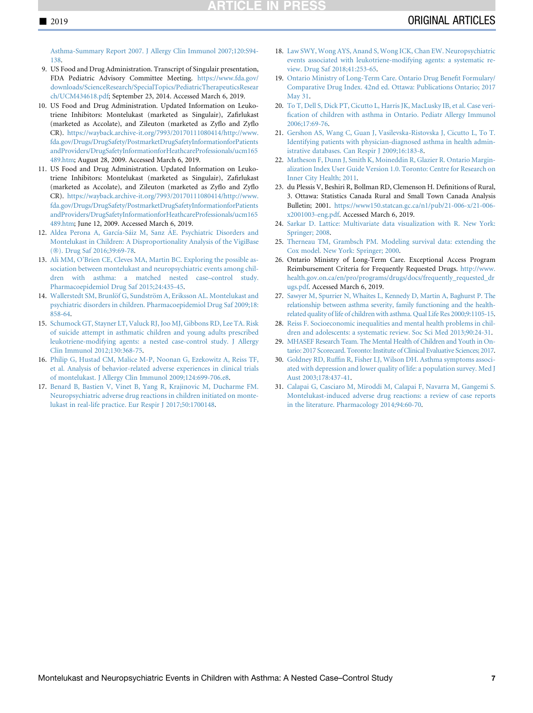<span id="page-6-0"></span>[Asthma-Summary Report 2007. J Allergy Clin Immunol 2007;120:S94-](http://refhub.elsevier.com/S0022-3476(19)30198-2/sref8) [138.](http://refhub.elsevier.com/S0022-3476(19)30198-2/sref8)

- 9. US Food and Drug Administration. Transcript of Singulair presentation, FDA Pediatric Advisory Committee Meeting. [https://www.fda.gov/](https://www.fda.gov/downloads/ScienceResearch/SpecialTopics/PediatricTherapeuticsResearch/UCM434618.pdf) [downloads/ScienceResearch/SpecialTopics/PediatricTherapeuticsResear](https://www.fda.gov/downloads/ScienceResearch/SpecialTopics/PediatricTherapeuticsResearch/UCM434618.pdf) [ch/UCM434618.pdf](https://www.fda.gov/downloads/ScienceResearch/SpecialTopics/PediatricTherapeuticsResearch/UCM434618.pdf); September 23, 2014. Accessed March 6, 2019.
- 10. US Food and Drug Administration. Updated Information on Leukotriene Inhibitors: Montelukast (marketed as Singulair), Zafirlukast (marketed as Accolate), and Zileuton (marketed as Zyflo and Zyflo CR). [https://wayback.archive-it.org/7993/20170111080414/http://www.](https://wayback.archive-it.org/7993/20170111080414/http://www.fda.gov/Drugs/DrugSafety/PostmarketDrugSafetyInformationforPatientsandProviders/DrugSafetyInformationforHeathcareProfessionals/ucm165489.htm) [fda.gov/Drugs/DrugSafety/PostmarketDrugSafetyInformationforPatients](https://wayback.archive-it.org/7993/20170111080414/http://www.fda.gov/Drugs/DrugSafety/PostmarketDrugSafetyInformationforPatientsandProviders/DrugSafetyInformationforHeathcareProfessionals/ucm165489.htm) [andProviders/DrugSafetyInformationforHeathcareProfessionals/ucm165](https://wayback.archive-it.org/7993/20170111080414/http://www.fda.gov/Drugs/DrugSafety/PostmarketDrugSafetyInformationforPatientsandProviders/DrugSafetyInformationforHeathcareProfessionals/ucm165489.htm) [489.htm](https://wayback.archive-it.org/7993/20170111080414/http://www.fda.gov/Drugs/DrugSafety/PostmarketDrugSafetyInformationforPatientsandProviders/DrugSafetyInformationforHeathcareProfessionals/ucm165489.htm); August 28, 2009. Accessed March 6, 2019.
- 11. US Food and Drug Administration. Updated Information on Leukotriene Inhibitors: Montelukast (marketed as Singulair), Zafirlukast (marketed as Accolate), and Zileuton (marketed as Zyflo and Zyflo CR). [https://wayback.archive-it.org/7993/20170111080414/http://www.](https://wayback.archive-it.org/7993/20170111080414/http://www.fda.gov/Drugs/DrugSafety/PostmarketDrugSafetyInformationforPatientsandProviders/DrugSafetyInformationforHeathcareProfessionals/ucm165489.htm) [fda.gov/Drugs/DrugSafety/PostmarketDrugSafetyInformationforPatients](https://wayback.archive-it.org/7993/20170111080414/http://www.fda.gov/Drugs/DrugSafety/PostmarketDrugSafetyInformationforPatientsandProviders/DrugSafetyInformationforHeathcareProfessionals/ucm165489.htm) [andProviders/DrugSafetyInformationforHeathcareProfessionals/ucm165](https://wayback.archive-it.org/7993/20170111080414/http://www.fda.gov/Drugs/DrugSafety/PostmarketDrugSafetyInformationforPatientsandProviders/DrugSafetyInformationforHeathcareProfessionals/ucm165489.htm) [489.htm](https://wayback.archive-it.org/7993/20170111080414/http://www.fda.gov/Drugs/DrugSafety/PostmarketDrugSafetyInformationforPatientsandProviders/DrugSafetyInformationforHeathcareProfessionals/ucm165489.htm); June 12, 2009. Accessed March 6, 2019.
- 12. [Aldea Perona A, Garc](http://refhub.elsevier.com/S0022-3476(19)30198-2/sref12)í[a-S](http://refhub.elsevier.com/S0022-3476(19)30198-2/sref12)áiz M, Sanz ÁE. Psychiatric Disorders and [Montelukast in Children: A Disproportionality Analysis of the VigiBase](http://refhub.elsevier.com/S0022-3476(19)30198-2/sref12) (®[\). Drug Saf 2016;39:69-78](http://refhub.elsevier.com/S0022-3476(19)30198-2/sref12).
- 13. [Ali MM, O'Brien CE, Cleves MA, Martin BC. Exploring the possible as](http://refhub.elsevier.com/S0022-3476(19)30198-2/sref13)[sociation between montelukast and neuropsychiatric events among chil](http://refhub.elsevier.com/S0022-3476(19)30198-2/sref13)[dren with asthma: a matched nested case–control study.](http://refhub.elsevier.com/S0022-3476(19)30198-2/sref13) [Pharmacoepidemiol Drug Saf 2015;24:435-45](http://refhub.elsevier.com/S0022-3476(19)30198-2/sref13).
- 14. Wallerstedt SM, Brunlöf G, Sundströ[m A, Eriksson AL. Montelukast and](http://refhub.elsevier.com/S0022-3476(19)30198-2/sref14) [psychiatric disorders in children. Pharmacoepidemiol Drug Saf 2009;18:](http://refhub.elsevier.com/S0022-3476(19)30198-2/sref14) [858-64](http://refhub.elsevier.com/S0022-3476(19)30198-2/sref14).
- 15. [Schumock GT, Stayner LT, Valuck RJ, Joo MJ, Gibbons RD, Lee TA. Risk](http://refhub.elsevier.com/S0022-3476(19)30198-2/sref15) [of suicide attempt in asthmatic children and young adults prescribed](http://refhub.elsevier.com/S0022-3476(19)30198-2/sref15) [leukotriene-modifying agents: a nested case-control study. J Allergy](http://refhub.elsevier.com/S0022-3476(19)30198-2/sref15) [Clin Immunol 2012;130:368-75](http://refhub.elsevier.com/S0022-3476(19)30198-2/sref15).
- 16. [Philip G, Hustad CM, Malice M-P, Noonan G, Ezekowitz A, Reiss TF,](http://refhub.elsevier.com/S0022-3476(19)30198-2/sref16) [et al. Analysis of behavior-related adverse experiences in clinical trials](http://refhub.elsevier.com/S0022-3476(19)30198-2/sref16) [of montelukast. J Allergy Clin Immunol 2009;124:699-706.e8](http://refhub.elsevier.com/S0022-3476(19)30198-2/sref16).
- 17. [Benard B, Bastien V, Vinet B, Yang R, Krajinovic M, Ducharme FM.](http://refhub.elsevier.com/S0022-3476(19)30198-2/sref17) [Neuropsychiatric adverse drug reactions in children initiated on monte](http://refhub.elsevier.com/S0022-3476(19)30198-2/sref17)[lukast in real-life practice. Eur Respir J 2017;50:1700148.](http://refhub.elsevier.com/S0022-3476(19)30198-2/sref17)
- 18. [Law SWY, Wong AYS, Anand S, Wong ICK, Chan EW. Neuropsychiatric](http://refhub.elsevier.com/S0022-3476(19)30198-2/sref18) [events associated with leukotriene-modifying agents: a systematic re](http://refhub.elsevier.com/S0022-3476(19)30198-2/sref18)[view. Drug Saf 2018;41:253-65](http://refhub.elsevier.com/S0022-3476(19)30198-2/sref18).
- 19. [Ontario Ministry of Long-Term Care. Ontario Drug Benefit Formulary/](http://refhub.elsevier.com/S0022-3476(19)30198-2/sref19) [Comparative Drug Index. 42nd ed. Ottawa: Publications Ontario; 2017](http://refhub.elsevier.com/S0022-3476(19)30198-2/sref19) [May 31](http://refhub.elsevier.com/S0022-3476(19)30198-2/sref19).
- 20. [To T, Dell S, Dick PT, Cicutto L, Harris JK, MacLusky IB, et al. Case veri](http://refhub.elsevier.com/S0022-3476(19)30198-2/sref20)[fication of children with asthma in Ontario. Pediatr Allergy Immunol](http://refhub.elsevier.com/S0022-3476(19)30198-2/sref20) [2006;17:69-76.](http://refhub.elsevier.com/S0022-3476(19)30198-2/sref20)
- 21. [Gershon AS, Wang C, Guan J, Vasilevska-Ristovska J, Cicutto L, To T.](http://refhub.elsevier.com/S0022-3476(19)30198-2/sref21) [Identifying patients with physician-diagnosed asthma in health admin](http://refhub.elsevier.com/S0022-3476(19)30198-2/sref21)[istrative databases. Can Respir J 2009;16:183-8.](http://refhub.elsevier.com/S0022-3476(19)30198-2/sref21)
- 22. [Matheson F, Dunn J, Smith K, Moineddin R, Glazier R. Ontario Margin](http://refhub.elsevier.com/S0022-3476(19)30198-2/sref22)[alization Index User Guide Version 1.0. Toronto: Centre for Research on](http://refhub.elsevier.com/S0022-3476(19)30198-2/sref22) [Inner City Health; 2011](http://refhub.elsevier.com/S0022-3476(19)30198-2/sref22).
- 23. du Plessis V, Beshiri R, Bollman RD, Clemenson H. Definitions of Rural, 3. Ottawa: Statistics Canada Rural and Small Town Canada Analysis Bulletin; 2001. [https://www150.statcan.gc.ca/n1/pub/21-006-x/21-006](https://www150.statcan.gc.ca/n1/pub/21-006-x/21-006-x2001003-eng.pdf) [x2001003-eng.pdf](https://www150.statcan.gc.ca/n1/pub/21-006-x/21-006-x2001003-eng.pdf). Accessed March 6, 2019.
- 24. [Sarkar D. Lattice: Multivariate data visualization with R. New York:](http://refhub.elsevier.com/S0022-3476(19)30198-2/sref24) [Springer; 2008.](http://refhub.elsevier.com/S0022-3476(19)30198-2/sref24)
- 25. [Therneau TM, Grambsch PM. Modeling survival data: extending the](http://refhub.elsevier.com/S0022-3476(19)30198-2/sref25) [Cox model. New York: Springer; 2000](http://refhub.elsevier.com/S0022-3476(19)30198-2/sref25).
- 26. Ontario Ministry of Long-Term Care. Exceptional Access Program Reimbursement Criteria for Frequently Requested Drugs. [http://www.](http://www.health.gov.on.ca/en/pro/programs/drugs/docs/frequently_requested_drugs.pdf) [health.gov.on.ca/en/pro/programs/drugs/docs/frequently\\_requested\\_dr](http://www.health.gov.on.ca/en/pro/programs/drugs/docs/frequently_requested_drugs.pdf) [ugs.pdf.](http://www.health.gov.on.ca/en/pro/programs/drugs/docs/frequently_requested_drugs.pdf) Accessed March 6, 2019.
- 27. [Sawyer M, Spurrier N, Whaites L, Kennedy D, Martin A, Baghurst P. The](http://refhub.elsevier.com/S0022-3476(19)30198-2/sref27) [relationship between asthma severity, family functioning and the health](http://refhub.elsevier.com/S0022-3476(19)30198-2/sref27)[related quality of life of children with asthma. Qual Life Res 2000;9:1105-15](http://refhub.elsevier.com/S0022-3476(19)30198-2/sref27).
- 28. [Reiss F. Socioeconomic inequalities and mental health problems in chil](http://refhub.elsevier.com/S0022-3476(19)30198-2/sref28)[dren and adolescents: a systematic review. Soc Sci Med 2013;90:24-31](http://refhub.elsevier.com/S0022-3476(19)30198-2/sref28).
- 29. [MHASEF Research Team. The Mental Health of Children and Youth in On](http://refhub.elsevier.com/S0022-3476(19)30198-2/sref29)[tario: 2017 Scorecard. Toronto: Institute of Clinical Evaluative Sciences; 2017](http://refhub.elsevier.com/S0022-3476(19)30198-2/sref29).
- 30. [Goldney RD, Ruffin R, Fisher LJ, Wilson DH. Asthma symptoms associ](http://refhub.elsevier.com/S0022-3476(19)30198-2/sref30)[ated with depression and lower quality of life: a population survey. Med J](http://refhub.elsevier.com/S0022-3476(19)30198-2/sref30) [Aust 2003;178:437-41.](http://refhub.elsevier.com/S0022-3476(19)30198-2/sref30)
- 31. [Calapai G, Casciaro M, Miroddi M, Calapai F, Navarra M, Gangemi S.](http://refhub.elsevier.com/S0022-3476(19)30198-2/sref31) [Montelukast-induced adverse drug reactions: a review of case reports](http://refhub.elsevier.com/S0022-3476(19)30198-2/sref31) [in the literature. Pharmacology 2014;94:60-70](http://refhub.elsevier.com/S0022-3476(19)30198-2/sref31).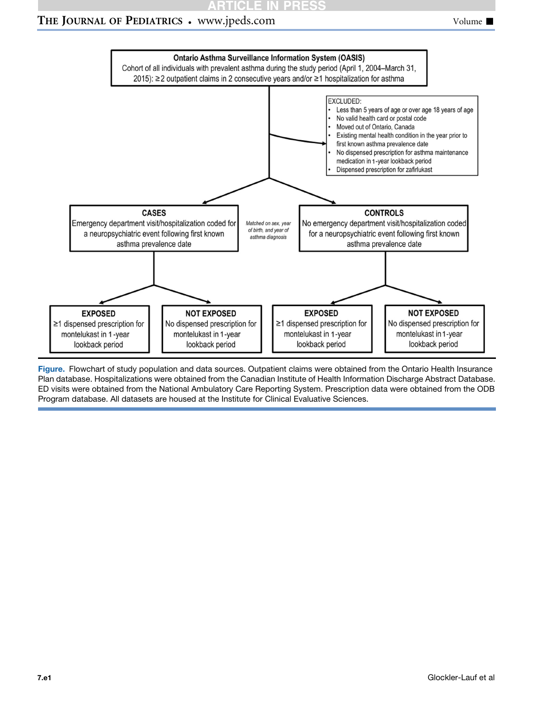# **RTICLE IN PRESS**

## <span id="page-7-0"></span>THE JOURNAL OF PEDIATRICS • www.jpeds.com Volume  $\blacksquare$



Figure. Flowchart of study population and data sources. Outpatient claims were obtained from the Ontario Health Insurance Plan database. Hospitalizations were obtained from the Canadian Institute of Health Information Discharge Abstract Database. ED visits were obtained from the National Ambulatory Care Reporting System. Prescription data were obtained from the ODB Program database. All datasets are housed at the Institute for Clinical Evaluative Sciences.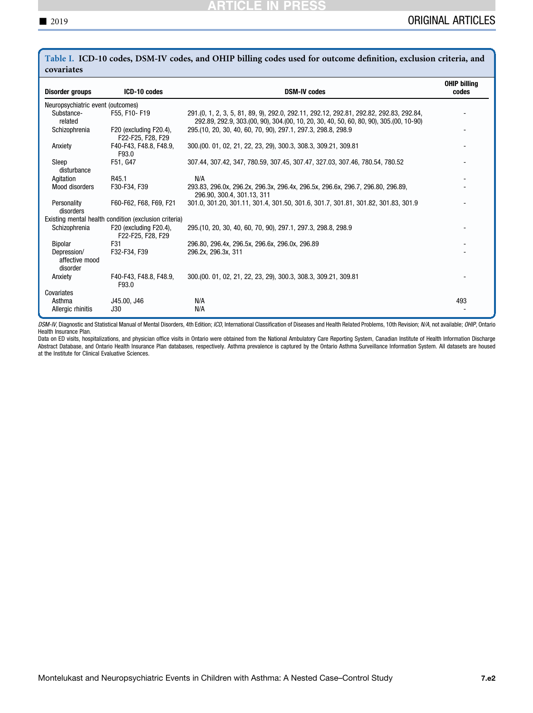| covariates                                |                                                       |                                                                                                                                                                                  |                              |
|-------------------------------------------|-------------------------------------------------------|----------------------------------------------------------------------------------------------------------------------------------------------------------------------------------|------------------------------|
| <b>Disorder groups</b>                    | ICD-10 codes                                          | <b>DSM-IV codes</b>                                                                                                                                                              | <b>OHIP billing</b><br>codes |
| Neuropsychiatric event (outcomes)         |                                                       |                                                                                                                                                                                  |                              |
| Substance-<br>related                     | F55. F10-F19                                          | 291.(0, 1, 2, 3, 5, 81, 89, 9), 292.0, 292.11, 292.12, 292.81, 292.82, 292.83, 292.84,<br>292.89, 292.9, 303.(00, 90), 304.(00, 10, 20, 30, 40, 50, 60, 80, 90), 305.(00, 10-90) |                              |
| Schizophrenia                             | F20 (excluding F20.4),<br>F22-F25, F28, F29           | 295.(10, 20, 30, 40, 60, 70, 90), 297.1, 297.3, 298.8, 298.9                                                                                                                     |                              |
| Anxiety                                   | F40-F43, F48.8, F48.9,<br>F93.0                       | 300.(00. 01, 02, 21, 22, 23, 29), 300.3, 308.3, 309.21, 309.81                                                                                                                   |                              |
| Sleep<br>disturbance                      | F51, G47                                              | 307.44, 307.42, 347, 780.59, 307.45, 307.47, 327.03, 307.46, 780.54, 780.52                                                                                                      |                              |
| Agitation                                 | R45.1                                                 | N/A                                                                                                                                                                              |                              |
| Mood disorders                            | F30-F34, F39                                          | 293.83, 296.0x, 296.2x, 296.3x, 296.4x, 296.5x, 296.6x, 296.7, 296.80, 296.89,<br>296.90, 300.4, 301.13, 311                                                                     |                              |
| Personality<br>disorders                  | F60-F62, F68, F69, F21                                | 301.0, 301.20, 301.11, 301.4, 301.50, 301.6, 301.7, 301.81, 301.82, 301.83, 301.9                                                                                                |                              |
|                                           | Existing mental health condition (exclusion criteria) |                                                                                                                                                                                  |                              |
| Schizophrenia                             | F20 (excluding F20.4),<br>F22-F25, F28, F29           | 295.(10, 20, 30, 40, 60, 70, 90), 297.1, 297.3, 298.8, 298.9                                                                                                                     |                              |
| Bipolar                                   | F31                                                   | 296.80, 296.4x, 296.5x, 296.6x, 296.0x, 296.89                                                                                                                                   |                              |
| Depression/<br>affective mood<br>disorder | F32-F34, F39                                          | 296.2x, 296.3x, 311                                                                                                                                                              |                              |
| Anxiety                                   | F40-F43, F48.8, F48.9,<br>F93.0                       | 300.(00. 01, 02, 21, 22, 23, 29), 300.3, 308.3, 309.21, 309.81                                                                                                                   |                              |
| Covariates                                |                                                       |                                                                                                                                                                                  |                              |
| Asthma                                    | J45.00, J46                                           | N/A                                                                                                                                                                              | 493                          |
| Allergic rhinitis                         | J30                                                   | N/A                                                                                                                                                                              |                              |

<span id="page-8-0"></span>Table I. ICD-10 codes, DSM-IV codes, and OHIP billing codes used for outcome definition, exclusion criteria, and covariates

DSM-IV, Diagnostic and Statistical Manual of Mental Disorders, 4th Edition; ICD, International Classification of Diseases and Health Related Problems, 10th Revision; N/A, not available; OHIP, Ontario Health Insurance Plan.

Data on ED visits, hospitalizations, and physician office visits in Ontario were obtained from the National Ambulatory Care Reporting System, Canadian Institute of Health Information Discharge Abstract Database, and Ontario Health Insurance Plan databases, respectively. Asthma prevalence is captured by the Ontario Asthma Surveillance Information System. All datasets are housed at the Institute for Clinical Evaluative Sciences.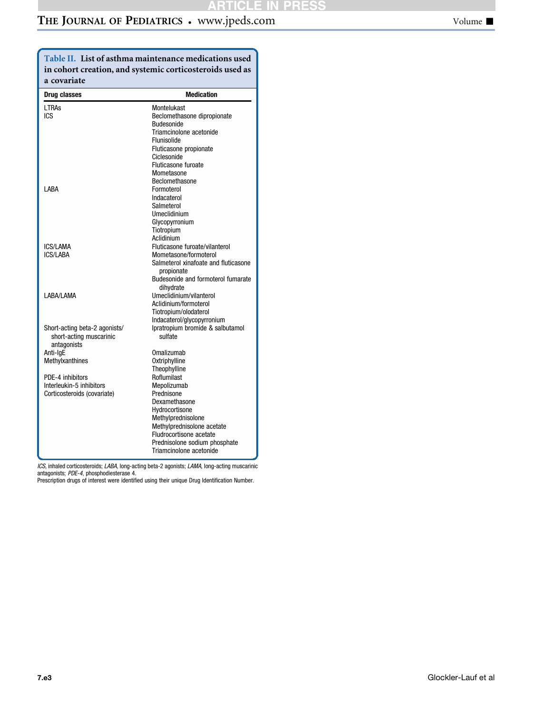# <span id="page-9-0"></span>THE JOURNAL OF PEDIATRICS . www.jpeds.com Volume  $\blacksquare$

Table II. List of asthma maintenance medications used in cohort creation, and systemic corticosteroids used as a covariate

| Drug classes                  | <b>Medication</b>                    |
|-------------------------------|--------------------------------------|
| <b>LTRAs</b>                  | Montelukast                          |
| ICS                           | Beclomethasone dipropionate          |
|                               | Budesonide                           |
|                               | Triamcinolone acetonide              |
|                               | Flunisolide                          |
|                               | Fluticasone propionate               |
|                               | Ciclesonide                          |
|                               | Fluticasone furoate                  |
|                               | Mometasone                           |
|                               | Beclomethasone                       |
| I ARA                         | Formoterol                           |
|                               | Indacaterol                          |
|                               | Salmeterol                           |
|                               | Umeclidinium                         |
|                               | Glycopyrronium                       |
|                               | Tiotropium                           |
|                               | Aclidinium                           |
| <b>ICS/LAMA</b>               | Fluticasone furoate/vilanterol       |
| <b>ICS/LABA</b>               | Mometasone/formoterol                |
|                               | Salmeterol xinafoate and fluticasone |
|                               | propionate                           |
|                               | Budesonide and formoterol fumarate   |
|                               | dihydrate                            |
| LABA/LAMA                     | Umeclidinium/vilanterol              |
|                               | Aclidinium/formoterol                |
|                               | Tiotropium/olodaterol                |
|                               | Indacaterol/glycopyrronium           |
| Short-acting beta-2 agonists/ | Ipratropium bromide & salbutamol     |
| short-acting muscarinic       | sulfate                              |
| antagonists                   |                                      |
| Anti-IgE                      | <b>Omalizumab</b>                    |
| Methylxanthines               | Oxtriphylline                        |
|                               | Theophylline                         |
| PDE-4 inhibitors              | Roflumilast                          |
| Interleukin-5 inhibitors      | Mepolizumab                          |
| Corticosteroids (covariate)   | Prednisone                           |
|                               | Dexamethasone                        |
|                               | Hvdrocortisone                       |
|                               | Methylprednisolone                   |
|                               | Methylprednisolone acetate           |
|                               | Fludrocortisone acetate              |
|                               | Prednisolone sodium phosphate        |
|                               | Triamcinolone acetonide              |

ICS, inhaled corticosteroids; LABA, long-acting beta-2 agonists; LAMA, long-acting muscarinic<br>antagonists; PDE-4, phosphodiesterase 4.

Prescription drugs of interest were identified using their unique Drug Identification Number.